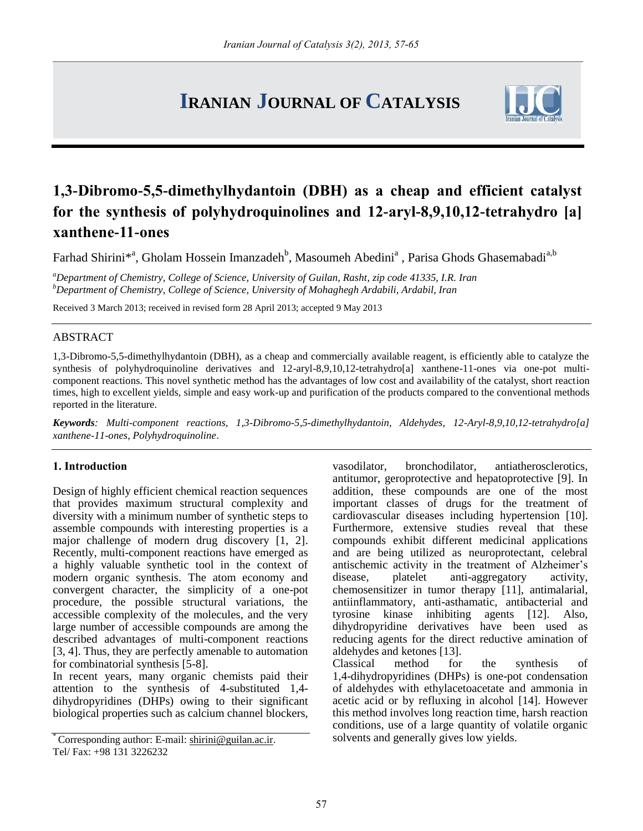# **IRANIAN JOURNAL OF CATALYSIS**



# **1,3-Dibromo-5,5-dimethylhydantoin (DBH) as a cheap and efficient catalyst for the synthesis of polyhydroquinolines and 12-aryl-8,9,10,12-tetrahydro [a] xanthene-11-ones**

Farhad Shirini\*<sup>a</sup>, Gholam Hossein Imanzadeh<sup>b</sup>, Masoumeh Abedini<sup>a</sup>, Parisa Ghods Ghasemabadi<sup>a,b</sup>

*<sup>a</sup>Department of Chemistry, College of Science, University of Guilan, Rasht, zip code 41335, I.R. Iran <sup>b</sup>Department of Chemistry, College of Science, University of Mohaghegh Ardabili, Ardabil, Iran*

Received 3 March 2013; received in revised form 28 April 2013; accepted 9 May 2013

#### ABSTRACT

1,3-Dibromo-5,5-dimethylhydantoin (DBH), as a cheap and commercially available reagent, is efficiently able to catalyze the synthesis of polyhydroquinoline derivatives and 12-aryl-8,9,10,12-tetrahydro[a] xanthene-11-ones via one-pot multicomponent reactions. This novel synthetic method has the advantages of low cost and availability of the catalyst, short reaction times, high to excellent yields, simple and easy work-up and purification of the products compared to the conventional methods reported in the literature.

*Keywords: Multi-component reactions, 1,3-Dibromo-5,5-dimethylhydantoin, Aldehydes, 12-Aryl-8,9,10,12-tetrahydro[a] xanthene-11-ones, Polyhydroquinoline*.

#### **1. Introduction**

Design of highly efficient chemical reaction sequences that provides maximum structural complexity and diversity with a minimum number of synthetic steps to assemble compounds with interesting properties is a major challenge of modern drug discovery [1, 2]. Recently, multi-component reactions have emerged as a highly valuable synthetic tool in the context of modern organic synthesis. The atom economy and convergent character, the simplicity of a one-pot procedure, the possible structural variations, the accessible complexity of the molecules, and the very large number of accessible compounds are among the described advantages of multi-component reactions [3, 4]. Thus, they are perfectly amenable to automation for combinatorial synthesis [5-8].

In recent years, many organic chemists paid their attention to the synthesis of 4-substituted 1,4 dihydropyridines (DHPs) owing to their significant biological properties such as calcium channel blockers,

vasodilator, bronchodilator, antiatherosclerotics, antitumor, geroprotective and hepatoprotective [9]. In addition, these compounds are one of the most important classes of drugs for the treatment of cardiovascular diseases including hypertension [10]. Furthermore, extensive studies reveal that these compounds exhibit different medicinal applications and are being utilized as neuroprotectant, celebral antischemic activity in the treatment of Alzheimer's disease, platelet anti-aggregatory activity, chemosensitizer in tumor therapy [11], antimalarial, antiinflammatory, anti-asthamatic, antibacterial and tyrosine kinase inhibiting agents [12]. Also, dihydropyridine derivatives have been used as reducing agents for the direct reductive amination of aldehydes and ketones [13].

for the synthesis of 1,4-dihydropyridines (DHPs) is one-pot condensation of aldehydes with ethylacetoacetate and ammonia in acetic acid or by refluxing in alcohol [14]. However this method involves long reaction time, harsh reaction conditions, use of a large quantity of volatile organic solvents and generally gives low yields.

<sup>\*</sup> Corresponding author: E-mail: [shirini@guilan.ac.ir.](mailto:shirini@guilan.ac.ir)  Tel/ Fax: +98 131 3226232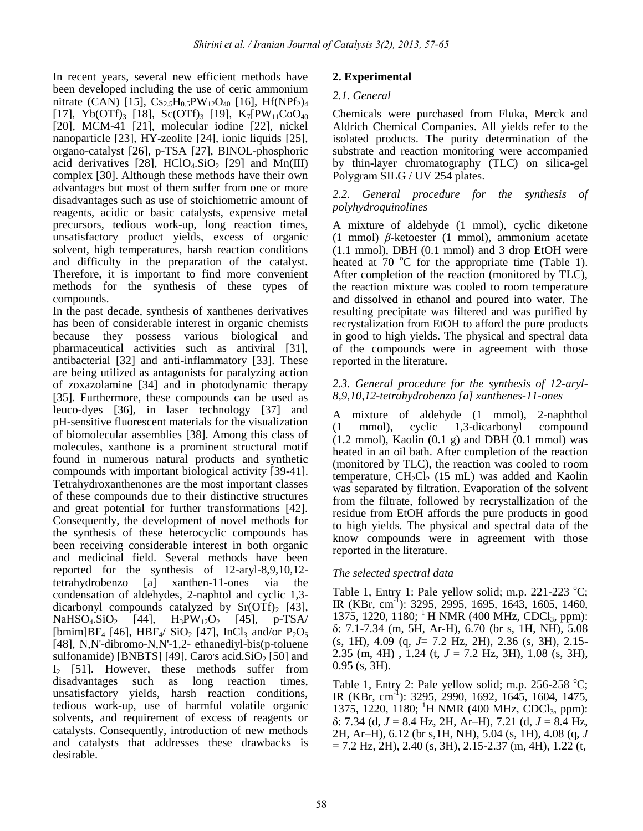In recent years, several new efficient methods have been developed including the use of ceric ammonium nitrate (CAN) [15],  $Cs_{2.5}H_{0.5}PW_{12}O_{40}$  [16], Hf(NPf<sub>2</sub>)<sub>4</sub> [17], Yb(OTf)<sub>3</sub> [18], Sc(OTf)<sub>3</sub> [19], K<sub>7</sub>[PW<sub>11</sub>CoO<sub>40</sub> [20], MCM-41 [21], molecular iodine [22], nickel nanoparticle [23], HY-zeolite [24], ionic liquids [25], organo-catalyst [26], p-TSA [27], BINOL-phosphoric acid derivatives [28],  $HClO<sub>4</sub>$ . SiO<sub>2</sub> [29] and Mn(III) complex [30]. Although these methods have their own advantages but most of them suffer from one or more disadvantages such as use of stoichiometric amount of reagents, acidic or basic catalysts, expensive metal precursors, tedious work-up, long reaction times, unsatisfactory product yields, excess of organic solvent, high temperatures, harsh reaction conditions and difficulty in the preparation of the catalyst. Therefore, it is important to find more convenient methods for the synthesis of these types of compounds.

In the past decade, synthesis of xanthenes derivatives has been of considerable interest in organic chemists because they possess various biological and pharmaceutical activities such as antiviral [31], antibacterial [32] and anti-inflammatory [33]. These are being utilized as antagonists for paralyzing action of zoxazolamine [34] and in photodynamic therapy [35]. Furthermore, these compounds can be used as leuco-dyes [36], in laser technology [37] and pH-sensitive fluorescent materials for the visualization of biomolecular assemblies [38]. Among this class of molecules, xanthone is a prominent structural motif found in numerous natural products and synthetic compounds with important biological activity [39-41]. Tetrahydroxanthenones are the most important classes of these compounds due to their distinctive structures and great potential for further transformations [42]. Consequently, the development of novel methods for the synthesis of these heterocyclic compounds has been receiving considerable interest in both organic and medicinal field. Several methods have been reported for the synthesis of 12-aryl-8,9,10,12 tetrahydrobenzo [a] xanthen-11-ones via the condensation of aldehydes, 2-naphtol and cyclic 1,3 dicarbonyl compounds catalyzed by  $Sr(OTf)_2$  [43],<br>NaHSO<sub>4</sub>.SiO<sub>2</sub> [44], H<sub>3</sub>PW<sub>12</sub>O<sub>2</sub> [45], p-TSA/  $NaHSO<sub>4</sub>.SiO<sub>2</sub>$ [bmim]BF<sub>4</sub> [46], HBF<sub>4</sub>/ SiO<sub>2</sub> [47], InCl<sub>3</sub> and/or  $P_2O_5$ [48], N,N'-dibromo-N,N'-1,2- ethanediyl-bis(p-toluene sulfonamide) [BNBTS] [49], Caro's acid. $SiO<sub>2</sub>$  [50] and  $I_2$  [51]. However, these methods suffer from disadvantages such as long reaction times, unsatisfactory yields, harsh reaction conditions, tedious work-up, use of harmful volatile organic solvents, and requirement of excess of reagents or catalysts. Consequently, introduction of new methods and catalysts that addresses these drawbacks is desirable.

# **2. Experimental**

# *2.1. General*

Chemicals were purchased from Fluka, Merck and Aldrich Chemical Companies. All yields refer to the isolated products. The purity determination of the substrate and reaction monitoring were accompanied by thin-layer chromatography (TLC) on silica-gel Polygram SILG / UV 254 plates.

### *2.2. General procedure for the synthesis of polyhydroquinolines*

A mixture of aldehyde (1 mmol), cyclic diketone (1 mmol) *β*-ketoester (1 mmol), ammonium acetate (1.1 mmol), DBH (0.1 mmol) and 3 drop EtOH were heated at 70  $\degree$ C for the appropriate time (Table 1). After completion of the reaction (monitored by TLC), the reaction mixture was cooled to room temperature and dissolved in ethanol and poured into water. The resulting precipitate was filtered and was purified by recrystalization from EtOH to afford the pure products in good to high yields. The physical and spectral data of the compounds were in agreement with those reported in the literature.

#### *2.3. General procedure for the synthesis of 12-aryl-8,9,10,12-tetrahydrobenzo [a] xanthenes-11-ones*

A mixture of aldehyde (1 mmol), 2-naphthol (1 mmol), cyclic 1,3-dicarbonyl compound  $(1.2 \text{ mmol})$ , Kaolin  $(0.1 \text{ g})$  and DBH  $(0.1 \text{ mmol})$  was heated in an oil bath. After completion of the reaction (monitored by TLC), the reaction was cooled to room temperature,  $CH_2Cl_2$  (15 mL) was added and Kaolin was separated by filtration. Evaporation of the solvent from the filtrate, followed by recrystallization of the residue from EtOH affords the pure products in good to high yields. The physical and spectral data of the know compounds were in agreement with those reported in the literature.

# *The selected spectral data*

Table 1, Entry 1: Pale yellow solid; m.p. 221-223  $^{\circ}$ C; IR (KBr, cm-1 ): 3295, 2995, 1695, 1643, 1605, 1460, 1375, 1220, 1180; <sup>1</sup>H NMR (400 MHz, CDCl<sub>3</sub>, ppm): δ: 7.1-7.34 (m, 5H, Ar-H), 6.70 (br s, 1H, NH), 5.08 (s, 1H), 4.09 (q, *J*= 7.2 Hz, 2H), 2.36 (s, 3H), 2.15- 2.35 (m, 4H) , 1.24 (t, *J* = 7.2 Hz, 3H), 1.08 (s, 3H), 0.95 (s, 3H).

Table 1, Entry 2: Pale yellow solid; m.p.  $256-258$  °C; IR (KBr, cm-1 ): 3295, 2990, 1692, 1645, 1604, 1475, 1375, 1220, 1180; <sup>1</sup>H NMR (400 MHz, CDCl<sub>3</sub>, ppm): δ: 7.34 (d, *J* = 8.4 Hz, 2H, Ar–H), 7.21 (d, *J* = 8.4 Hz, 2H, Ar–H), 6.12 (br s,1H, NH), 5.04 (s, 1H), 4.08 (q, *J*  $= 7.2$  Hz, 2H), 2.40 (s, 3H), 2.15-2.37 (m, 4H), 1.22 (t,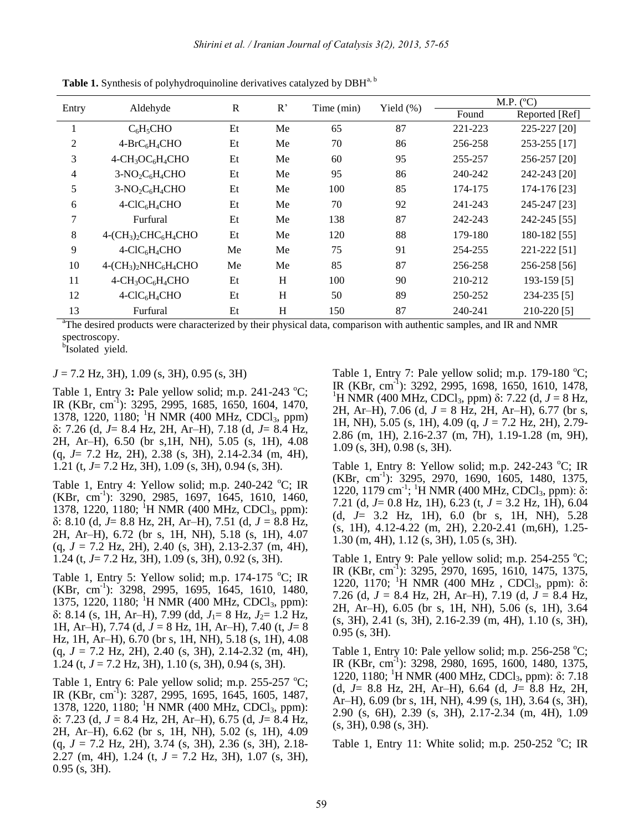| Entry | Aldehyde            | $\mathbb{R}$ | R  | Time (min) | Yield $(\%)$ | M.P. (°C) |                |
|-------|---------------------|--------------|----|------------|--------------|-----------|----------------|
|       |                     |              |    |            |              | Found     | Reported [Ref] |
|       | $C_6H_5CHO$         | Et           | Me | 65         | 87           | 221-223   | 225-227 [20]   |
| 2     | $4-BrC6H4CHO$       | Et           | Me | 70         | 86           | 256-258   | 253-255 [17]   |
| 3     | $4-CH3OC6H4CHO$     | Et           | Me | 60         | 95           | 255-257   | 256-257 [20]   |
| 4     | $3-NO_2C_6H_4CHO$   | Et           | Me | 95         | 86           | 240-242   | 242-243 [20]   |
| 5     | $3-NO2C6H4CHO$      | Et           | Me | 100        | 85           | 174-175   | 174-176 [23]   |
| 6     | $4-CIC6H4CHO$       | Et           | Me | 70         | 92           | 241-243   | 245-247 [23]   |
| 7     | Furfural            | Et           | Me | 138        | 87           | 242-243   | 242-245 [55]   |
| 8     | $4-(CH3)2CHC6H4CHO$ | Et           | Me | 120        | 88           | 179-180   | 180-182 [55]   |
| 9     | $4-CIC6H4CHO$       | Me           | Me | 75         | 91           | 254-255   | 221-222 [51]   |
| 10    | $4-(CH3)2NHC6H4CHO$ | Me           | Me | 85         | 87           | 256-258   | 256-258 [56]   |
| 11    | $4-CH_3OC_6H_4CHO$  | Et           | H  | 100        | 90           | 210-212   | 193-159 [5]    |
| 12    | $4-CIC6H4CHO$       | Et           | H  | 50         | 89           | 250-252   | 234-235 [5]    |
| 13    | Furfural            | Et           | Η  | 150        | 87           | 240-241   | 210-220 [5]    |

Table 1. Synthesis of polyhydroquinoline derivatives catalyzed by DBH<sup>a, b</sup>

<sup>a</sup>The desired products were characterized by their physical data, comparison with authentic samples, and IR and NMR spectroscopy.

bIsolated yield.

*J* = 7.2 Hz, 3H), 1.09 (s, 3H), 0.95 (s, 3H)

Table 1, Entry 3: Pale yellow solid; m.p.  $241-243$  °C; IR (KBr, cm-1 ): 3295, 2995, 1685, 1650, 1604, 1470, 1378, 1220, 1180; <sup>1</sup>H NMR (400 MHz, CDCl<sub>3</sub>, ppm) δ: 7.26 (d, *J*= 8.4 Hz, 2H, Ar–H), 7.18 (d, *J*= 8.4 Hz, 2H, Ar–H), 6.50 (br s,1H, NH), 5.05 (s, 1H), 4.08 (q, *J*= 7.2 Hz, 2H), 2.38 (s, 3H), 2.14-2.34 (m, 4H), 1.21 (t, *J*= 7.2 Hz, 3H), 1.09 (s, 3H), 0.94 (s, 3H).

Table 1, Entry 4: Yellow solid; m.p. 240-242  $^{\circ}$ C; IR (KBr, cm-1 ): 3290, 2985, 1697, 1645, 1610, 1460, 1378, 1220, 1180; <sup>1</sup>H NMR (400 MHz, CDCl<sub>3</sub>, ppm): δ: 8.10 (d, *J*= 8.8 Hz, 2H, Ar–H), 7.51 (d, *J* = 8.8 Hz, 2H, Ar–H), 6.72 (br s, 1H, NH), 5.18 (s, 1H), 4.07 (q, *J* = 7.2 Hz, 2H), 2.40 (s, 3H), 2.13-2.37 (m, 4H), 1.24 (t, *J*= 7.2 Hz, 3H), 1.09 (s, 3H), 0.92 (s, 3H).

Table 1, Entry 5: Yellow solid; m.p. 174-175  $\rm{^{\circ}C;}$  IR (KBr, cm-1 ): 3298, 2995, 1695, 1645, 1610, 1480, 1375, 1220, 1180; <sup>1</sup>H NMR (400 MHz, CDCl<sub>3</sub>, ppm): δ: 8.14 (s, 1H, Ar–H), 7.99 (dd, *J*<sub>1</sub>= 8 Hz, *J*<sub>2</sub>= 1.2 Hz, 1H, Ar–H), 7.74 (d, *J* = 8 Hz, 1H, Ar–H), 7.40 (t, *J*= 8 Hz, 1H, Ar–H), 6.70 (br s, 1H, NH), 5.18 (s, 1H), 4.08 (q, *J* = 7.2 Hz, 2H), 2.40 (s, 3H), 2.14-2.32 (m, 4H), 1.24 (t, *J* = 7.2 Hz, 3H), 1.10 (s, 3H), 0.94 (s, 3H).

Table 1, Entry 6: Pale yellow solid; m.p.  $255-257$  °C; IR (KBr, cm-1 ): 3287, 2995, 1695, 1645, 1605, 1487, 1378, 1220, 1180; <sup>1</sup>H NMR (400 MHz, CDCl<sub>3</sub>, ppm): δ: 7.23 (d, *J* = 8.4 Hz, 2H, Ar–H), 6.75 (d, *J*= 8.4 Hz, 2H, Ar–H), 6.62 (br s, 1H, NH), 5.02 (s, 1H), 4.09 (q, *J* = 7.2 Hz, 2H), 3.74 (s, 3H), 2.36 (s, 3H), 2.18- 2.27 (m, 4H), 1.24 (t, *J* = 7.2 Hz, 3H), 1.07 (s, 3H), 0.95 (s, 3H).

Table 1, Entry 7: Pale yellow solid; m.p. 179-180  $^{\circ}$ C; IR (KBr, cm-1 ): 3292, 2995, 1698, 1650, 1610, 1478, <sup>1</sup>H NMR (400 MHz, CDCl<sub>3</sub>, ppm) δ: 7.22 (d,  $J = 8$  Hz, 2H, Ar–H), 7.06 (d, *J* = 8 Hz, 2H, Ar–H), 6.77 (br s, 1H, NH), 5.05 (s, 1H), 4.09 (q, *J* = 7.2 Hz, 2H), 2.79- 2.86 (m, 1H), 2.16-2.37 (m, 7H), 1.19-1.28 (m, 9H), 1.09 (s, 3H), 0.98 (s, 3H).

Table 1, Entry 8: Yellow solid; m.p. 242-243  $^{\circ}$ C; IR (KBr, cm-1 ): 3295, 2970, 1690, 1605, 1480, 1375, 1220, 1179 cm<sup>-1</sup>; <sup>1</sup>H NMR (400 MHz, CDCl<sub>3</sub>, ppm): δ: 7.21 (d, *J*= 0.8 Hz, 1H), 6.23 (t, *J* = 3.2 Hz, 1H), 6.04 (d, *J*= 3.2 Hz, 1H), 6.0 (br s, 1H, NH), 5.28 (s, 1H), 4.12-4.22 (m, 2H), 2.20-2.41 (m,6H), 1.25- 1.30 (m, 4H), 1.12 (s, 3H), 1.05 (s, 3H).

Table 1, Entry 9: Pale yellow solid; m.p.  $254-255$  °C; IR (KBr, cm-1 ): 3295, 2970, 1695, 1610, 1475, 1375, 1220, 1170; <sup>1</sup>H NMR (400 MHz, CDCl<sub>3</sub>, ppm): δ: 7.26 (d, *J* = 8.4 Hz, 2H, Ar–H), 7.19 (d, *J* = 8.4 Hz, 2H, Ar–H), 6.05 (br s, 1H, NH), 5.06 (s, 1H), 3.64 (s, 3H), 2.41 (s, 3H), 2.16-2.39 (m, 4H), 1.10 (s, 3H), 0.95 (s, 3H).

Table 1, Entry 10: Pale yellow solid; m.p.  $256-258$  °C; IR (KBr, cm-1 ): 3298, 2980, 1695, 1600, 1480, 1375, 1220, 1180; <sup>1</sup>H NMR (400 MHz, CDCl<sub>3</sub>, ppm): δ: 7.18 (d, *J*= 8.8 Hz, 2H, Ar–H), 6.64 (d, *J*= 8.8 Hz, 2H, Ar–H), 6.09 (br s, 1H, NH), 4.99 (s, 1H), 3.64 (s, 3H), 2.90 (s, 6H), 2.39 (s, 3H), 2.17-2.34 (m, 4H), 1.09 (s, 3H), 0.98 (s, 3H).

Table 1, Entry 11: White solid; m.p. 250-252  $^{\circ}$ C; IR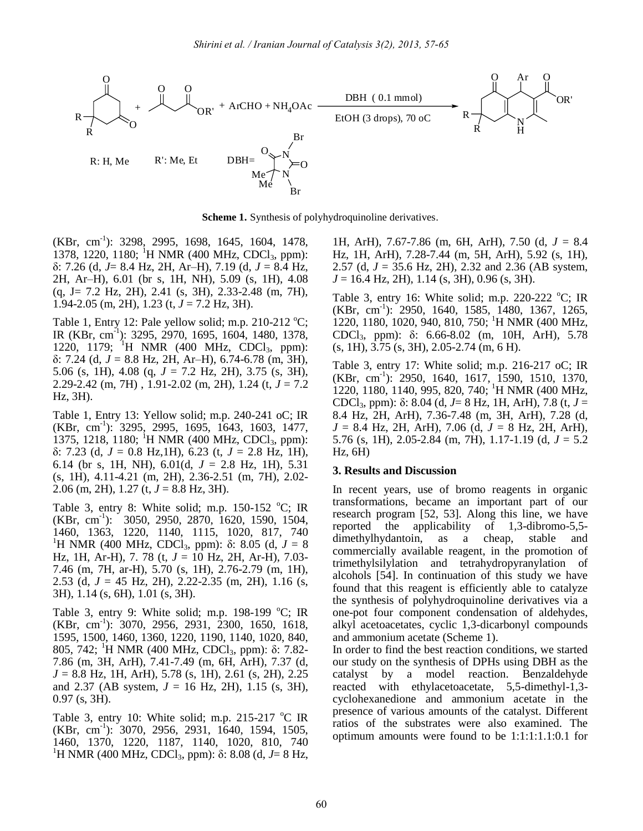

**Scheme 1.** Synthesis of polyhydroquinoline derivatives.

(KBr, cm<sup>-1</sup>): 3298, 2995, 1698, 1645, 1604, 1478, 1378, 1220, 1180; <sup>1</sup>H NMR (400 MHz, CDCl<sub>3</sub>, ppm): δ: 7.26 (d, *J*= 8.4 Hz, 2H, Ar–H), 7.19 (d, *J* = 8.4 Hz, 2H, Ar–H), 6.01 (br s, 1H, NH), 5.09 (s, 1H), 4.08 (q, J= 7.2 Hz, 2H), 2.41 (s, 3H), 2.33-2.48 (m, 7H), 1.94-2.05 (m, 2H), 1.23 (t, *J* = 7.2 Hz, 3H).

Table 1, Entry 12: Pale yellow solid; m.p. 210-212  $^{\circ}$ C; IR (KBr, cm-1 ): 3295, 2970, 1695, 1604, 1480, 1378, 1220, 1179; <sup>1</sup>H NMR (400 MHz, CDCl<sub>3</sub>, ppm): δ: 7.24 (d, *J* = 8.8 Hz, 2H, Ar–H), 6.74-6.78 (m, 3H), 5.06 (s, 1H), 4.08 (q, *J* = 7.2 Hz, 2H), 3.75 (s, 3H), 2.29-2.42 (m, 7H) , 1.91-2.02 (m, 2H), 1.24 (t, *J* = 7.2 Hz, 3H).

Table 1, Entry 13: Yellow solid; m.p. 240-241 oC; IR (KBr, cm-1 ): 3295, 2995, 1695, 1643, 1603, 1477, 1375, 1218, 1180; <sup>1</sup>H NMR (400 MHz, CDCl<sub>3</sub>, ppm): δ: 7.23 (d, *J* = 0.8 Hz,1H), 6.23 (t, *J* = 2.8 Hz, 1H), 6.14 (br s, 1H, NH),  $6.01(d, J = 2.8 \text{ Hz}, 1H)$ , 5.31 (s, 1H), 4.11-4.21 (m, 2H), 2.36-2.51 (m, 7H), 2.02- 2.06 (m, 2H), 1.27 (t, *J* = 8.8 Hz, 3H).

Table 3, entry 8: White solid; m.p. 150-152  $^{\circ}$ C; IR (KBr, cm-1 ): 3050, 2950, 2870, 1620, 1590, 1504, 1460, 1363, 1220, 1140, 1115, 1020, 817, 740 <sup>1</sup>H NMR (400 MHz, CDCl<sub>3</sub>, ppm): δ: 8.05 (d,  $J = 8$ ) Hz, 1H, Ar-H), 7. 78 (t, *J* = 10 Hz, 2H, Ar-H), 7.03- 7.46 (m, 7H, ar-H), 5.70 (s, 1H), 2.76-2.79 (m, 1H), 2.53 (d, *J* = 45 Hz, 2H), 2.22-2.35 (m, 2H), 1.16 (s, 3H), 1.14 (s, 6H), 1.01 (s, 3H).

Table 3, entry 9: White solid; m.p. 198-199  $^{\circ}$ C; IR (KBr, cm-1 ): 3070, 2956, 2931, 2300, 1650, 1618, 1595, 1500, 1460, 1360, 1220, 1190, 1140, 1020, 840, 805, 742; <sup>1</sup>H NMR (400 MHz, CDCl<sub>3</sub>, ppm): δ: 7.82-7.86 (m, 3H, ArH), 7.41-7.49 (m, 6H, ArH), 7.37 (d, *J* = 8.8 Hz, 1H, ArH), 5.78 (s, 1H), 2.61 (s, 2H), 2.25 and 2.37 (AB system,  $J = 16$  Hz, 2H), 1.15 (s, 3H), 0.97 (s, 3H).

Table 3, entry 10: White solid; m.p. 215-217  $\rm{°C}$  IR (KBr, cm-1 ): 3070, 2956, 2931, 1640, 1594, 1505, 1460, 1370, 1220, 1187, 1140, 1020, 810, 740 <sup>1</sup>H NMR (400 MHz, CDCl<sub>3</sub>, ppm): δ: 8.08 (d, *J*= 8 Hz,

1H, ArH), 7.67-7.86 (m, 6H, ArH), 7.50 (d, *J* = 8.4 Hz, 1H, ArH), 7.28-7.44 (m, 5H, ArH), 5.92 (s, 1H), 2.57 (d, *J* = 35.6 Hz, 2H), 2.32 and 2.36 (AB system, *J* = 16.4 Hz, 2H), 1.14 (s, 3H), 0.96 (s, 3H).

Table 3, entry 16: White solid; m.p. 220-222  $^{\circ}$ C; IR (KBr, cm-1 ): 2950, 1640, 1585, 1480, 1367, 1265, 1220, 1180, 1020, 940, 810, 750; <sup>1</sup>H NMR (400 MHz, CDCl3, ppm): δ: 6.66-8.02 (m, 10H, ArH), 5.78 (s, 1H), 3.75 (s, 3H), 2.05-2.74 (m, 6 H).

Table 3, entry 17: White solid; m.p. 216-217 oC; IR (KBr, cm-1 ): 2950, 1640, 1617, 1590, 1510, 1370, 1220, 1180, 1140, 995, 820, 740; <sup>1</sup>H NMR (400 MHz, CDCl3, ppm): δ: 8.04 (d, *J*= 8 Hz, 1H, ArH), 7.8 (t, *J* = 8.4 Hz, 2H, ArH), 7.36-7.48 (m, 3H, ArH), 7.28 (d, *J* = 8.4 Hz, 2H, ArH), 7.06 (d, *J* = 8 Hz, 2H, ArH), 5.76 (s, 1H), 2.05-2.84 (m, 7H), 1.17-1.19 (d,  $J = 5.2$ Hz, 6H)

#### **3. Results and Discussion**

In recent years, use of bromo reagents in organic transformations, became an important part of our research program [52, 53]. Along this line, we have reported the applicability of 1,3-dibromo-5,5 dimethylhydantoin, as a cheap, stable and commercially available reagent, in the promotion of trimethylsilylation and tetrahydropyranylation of alcohols [54]. In continuation of this study we have found that this reagent is efficiently able to catalyze the synthesis of polyhydroquinoline derivatives via a one-pot four component condensation of aldehydes, alkyl acetoacetates, cyclic 1,3-dicarbonyl compounds and ammonium acetate (Scheme 1).

In order to find the best reaction conditions, we started our study on the synthesis of DPHs using DBH as the catalyst by a model reaction. Benzaldehyde reacted with ethylacetoacetate, 5,5-dimethyl-1,3 cyclohexanedione and ammonium acetate in the presence of various amounts of the catalyst. Different ratios of the substrates were also examined. The optimum amounts were found to be 1:1:1:1.1:0.1 for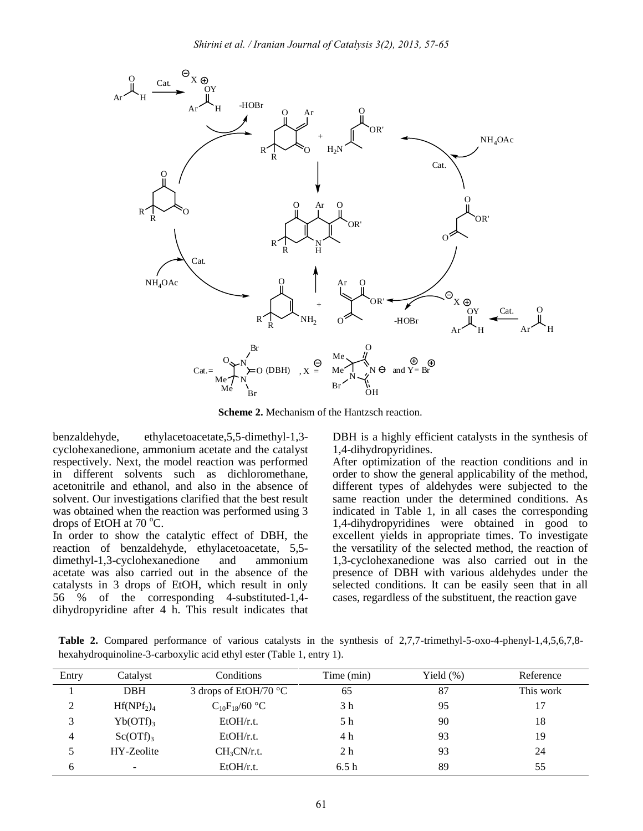

**Scheme 2.** Mechanism of the Hantzsch reaction.

benzaldehyde, ethylacetoacetate,5,5-dimethyl-1,3 cyclohexanedione, ammonium acetate and the catalyst respectively. Next, the model reaction was performed in different solvents such as dichloromethane, acetonitrile and ethanol, and also in the absence of solvent. Our investigations clarified that the best result was obtained when the reaction was performed using 3 drops of EtOH at  $70^{\circ}$ C.

In order to show the catalytic effect of DBH, the reaction of benzaldehyde, ethylacetoacetate, 5,5 dimethyl-1,3-cyclohexanedione and ammonium acetate was also carried out in the absence of the catalysts in 3 drops of EtOH, which result in only 56 % of the corresponding 4-substituted-1,4 dihydropyridine after 4 h. This result indicates that DBH is a highly efficient catalysts in the synthesis of 1,4-dihydropyridines.

After optimization of the reaction conditions and in order to show the general applicability of the method, different types of aldehydes were subjected to the same reaction under the determined conditions. As indicated in Table 1, in all cases the corresponding 1,4-dihydropyridines were obtained in good to excellent yields in appropriate times. To investigate the versatility of the selected method, the reaction of 1,3-cyclohexanedione was also carried out in the presence of DBH with various aldehydes under the selected conditions. It can be easily seen that in all cases, regardless of the substituent, the reaction gave

**Table 2.** Compared performance of various catalysts in the synthesis of 2,7,7-trimethyl-5-oxo-4-phenyl-1,4,5,6,7,8 hexahydroquinoline-3-carboxylic acid ethyl ester (Table 1, entry 1).

| Entry | Catalyst      | Conditions                     | Time (min)     | Yield $(\% )$ | Reference |
|-------|---------------|--------------------------------|----------------|---------------|-----------|
|       | <b>DBH</b>    | 3 drops of EtOH/70 $\degree$ C | 65             | 87            | This work |
| 2     | $Hf(NPf_2)_4$ | $C_{10}F_{18}/60$ °C           | 3 h            | 95            | 17        |
| 3     | $Yb(OTf)_{3}$ | EtOH/r.t.                      | 5 h            | 90            | 18        |
| 4     | $Sc(OTf)_{3}$ | EtOH/r.t.                      | 4 h            | 93            | 19        |
|       | HY-Zeolite    | $CH_3CN/r.t.$                  | 2 <sub>h</sub> | 93            | 24        |
| 6     | ۰             | EtOH/r.t.                      | 6.5h           | 89            | 55        |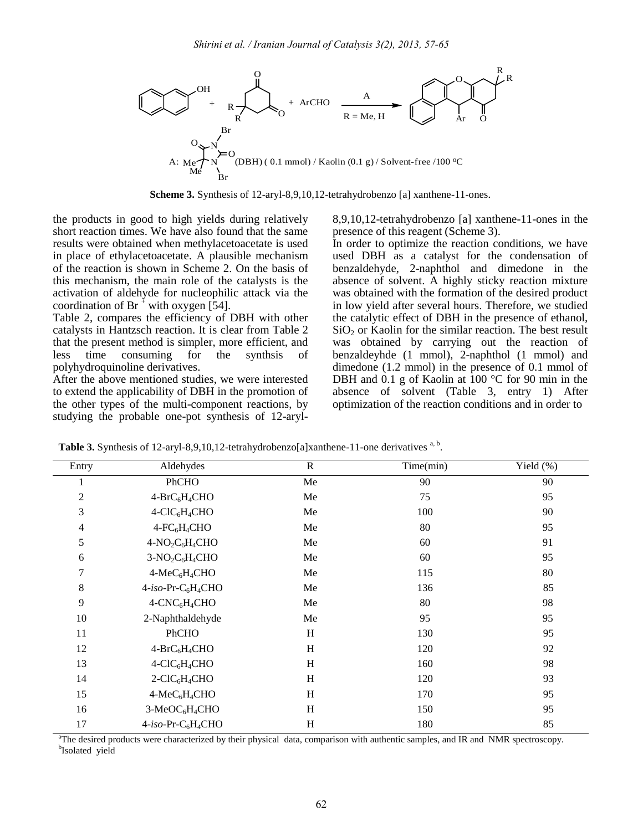

**Scheme 3.** Synthesis of 12-aryl-8,9,10,12-tetrahydrobenzo [a] xanthene-11-ones.

the products in good to high yields during relatively short reaction times. We have also found that the same results were obtained when methylacetoacetate is used in place of ethylacetoacetate. A plausible mechanism of the reaction is shown in Scheme 2. On the basis of this mechanism, the main role of the catalysts is the activation of aldehyde for nucleophilic attack via the coordination of Br<sup>+</sup> with oxygen [54].

Table 2, compares the efficiency of DBH with other catalysts in Hantzsch reaction. It is clear from Table 2 that the present method is simpler, more efficient, and less time consuming for the synthsis of polyhydroquinoline derivatives.

After the above mentioned studies, we were interested to extend the applicability of DBH in the promotion of the other types of the multi-component reactions, by studying the probable one-pot synthesis of 12-aryl8,9,10,12-tetrahydrobenzo [a] xanthene-11-ones in the presence of this reagent (Scheme 3).

In order to optimize the reaction conditions, we have used DBH as a catalyst for the condensation of benzaldehyde, 2-naphthol and dimedone in the absence of solvent. A highly sticky reaction mixture was obtained with the formation of the desired product in low yield after several hours. Therefore, we studied the catalytic effect of DBH in the presence of ethanol,  $SiO<sub>2</sub>$  or Kaolin for the similar reaction. The best result was obtained by carrying out the reaction of benzaldeyhde (1 mmol), 2-naphthol (1 mmol) and dimedone (1.2 mmol) in the presence of 0.1 mmol of DBH and 0.1 g of Kaolin at 100 °C for 90 min in the absence of solvent (Table 3, entry 1) After optimization of the reaction conditions and in order to

Table 3. Synthesis of 12-aryl-8,9,10,12-tetrahydrobenzo[a]xanthene-11-one derivatives <sup>a, b</sup>.

| Aldehydes                                  | $\mathbf R$               | Time(min) | Yield (%) |
|--------------------------------------------|---------------------------|-----------|-----------|
| PhCHO                                      | Me                        | 90        | 90        |
| $4-BrC_6H_4CHO$                            | Me                        | 75        | 95        |
| $4-CIC6H4CHO$                              | Me                        | 100       | 90        |
| $4$ -FC $6H4CHO$                           | Me                        | 80        | 95        |
| $4-NO_2C_6H_4CHO$                          | Me                        | 60        | 91        |
| $3-NO2C6H4CHO$                             | Me                        | 60        | 95        |
| $4-MeC6H4CHO$                              | Me                        | 115       | 80        |
| $4-iso-Pr-C6H4CHO$                         | Me                        | 136       | 85        |
| $4$ -CNC <sub>6</sub> H <sub>4</sub> CHO   | Me                        | 80        | 98        |
| 2-Naphthaldehyde                           | Me                        | 95        | 95        |
| PhCHO                                      | H                         | 130       | 95        |
| $4-BrC_6H_4CHO$                            | $\boldsymbol{\mathrm{H}}$ | 120       | 92        |
| $4-CIC6H4CHO$                              | H                         | 160       | 98        |
| $2$ -ClC <sub>6</sub> H <sub>4</sub> CHO   | H                         | 120       | 93        |
| $4-MeC6H4CHO$                              | H                         | 170       | 95        |
| 3-MeOC <sub>6</sub> H <sub>4</sub> CHO     | H                         | 150       | 95        |
| 4-iso-Pr-C <sub>6</sub> H <sub>4</sub> CHO | H                         | 180       | 85        |
|                                            |                           |           |           |

<sup>a</sup>The desired products were characterized by their physical data, comparison with authentic samples, and IR and NMR spectroscopy. b Isolated yield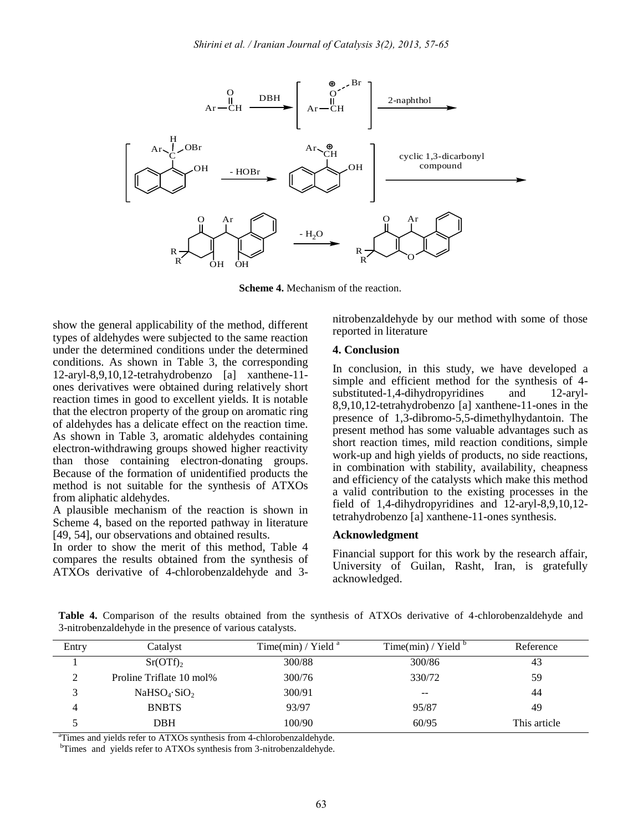

**Scheme 4.** Mechanism of the reaction.

show the general applicability of the method, different types of aldehydes were subjected to the same reaction under the determined conditions under the determined conditions. As shown in Table 3, the corresponding 12-aryl-8,9,10,12-tetrahydrobenzo [a] xanthene-11 ones derivatives were obtained during relatively short reaction times in good to excellent yields. It is notable that the electron property of the group on aromatic ring of aldehydes has a delicate effect on the reaction time. As shown in Table 3, aromatic aldehydes containing electron-withdrawing groups showed higher reactivity than those containing electron-donating groups. Because of the formation of unidentified products the method is not suitable for the synthesis of ATXOs from aliphatic aldehydes.

A plausible mechanism of the reaction is shown in Scheme 4, based on the reported pathway in literature [49, 54], our observations and obtained results.

In order to show the merit of this method, Table 4 compares the results obtained from the synthesis of ATXOs derivative of 4-chlorobenzaldehyde and 3nitrobenzaldehyde by our method with some of those reported in literature

#### **4. Conclusion**

In conclusion, in this study, we have developed a simple and efficient method for the synthesis of 4 substituted-1,4-dihydropyridines and 12-aryl-8,9,10,12-tetrahydrobenzo [a] xanthene-11-ones in the presence of 1,3-dibromo-5,5-dimethylhydantoin. The present method has some valuable advantages such as short reaction times, mild reaction conditions, simple work-up and high yields of products, no side reactions, in combination with stability, availability, cheapness and efficiency of the catalysts which make this method a valid contribution to the existing processes in the field of 1,4-dihydropyridines and 12-aryl-8,9,10,12 tetrahydrobenzo [a] xanthene-11-ones synthesis.

#### **Acknowledgment**

Financial support for this work by the research affair, University of Guilan, Rasht, Iran, is gratefully acknowledged.

**Table 4.** Comparison of the results obtained from the synthesis of ATXOs derivative of 4-chlorobenzaldehyde and 3-nitrobenzaldehyde in the presence of various catalysts.

| Entry | Catalyst                             | Time(min) / Yield $a$ | Time(min) / Yield $\overline{b}$ | Reference    |
|-------|--------------------------------------|-----------------------|----------------------------------|--------------|
|       | $Sr(OTf)_{2}$                        | 300/88                | 300/86                           | 43           |
| ◠     | Proline Triflate 10 mol%             | 300/76                | 330/72                           | 59           |
|       | NaHSO <sub>4</sub> ·SiO <sub>2</sub> | 300/91                | $- -$                            | 44           |
| 4     | <b>BNBTS</b>                         | 93/97                 | 95/87                            | 49           |
|       | DBH                                  | 100/90                | 60/95                            | This article |

<sup>a</sup>Times and yields refer to ATXOs synthesis from 4-chlorobenzaldehyde.

<sup>b</sup>Times and yields refer to ATXOs synthesis from 3-nitrobenzaldehyde.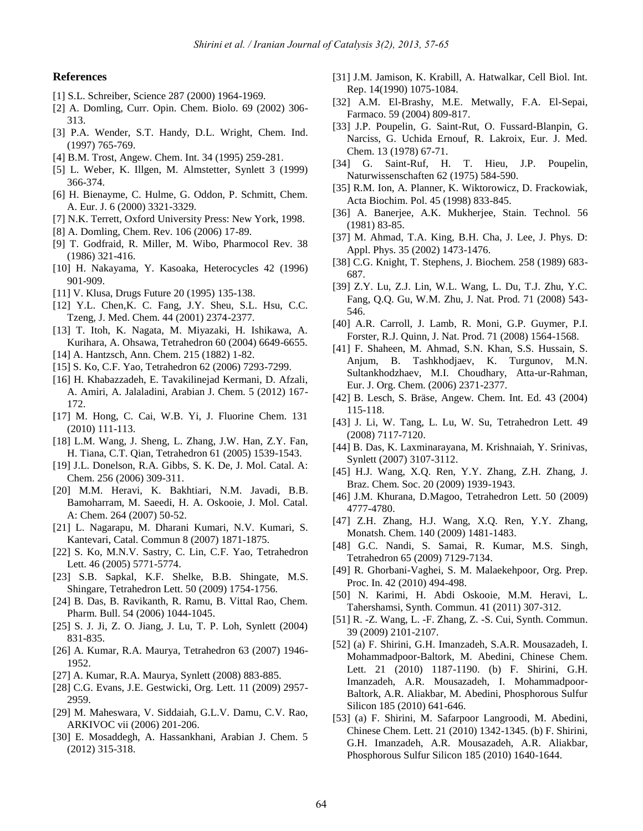#### **References**

- [1] S.L. Schreiber, Science 287 (2000) 1964-1969.
- [2] A. Domling, Curr. Opin. Chem. Biolo. 69 (2002) 306- 313.
- [3] P.A. Wender, S.T. Handy, D.L. Wright, Chem. Ind. (1997) 765-769.
- [4] B.M. Trost, Angew. Chem. Int. 34 (1995) 259-281.
- [5] L. Weber, K. Illgen, M. Almstetter, Synlett 3 (1999) 366-374.
- [6] H. Bienayme, C. Hulme, G. Oddon, P. Schmitt, Chem. A. Eur. J. 6 (2000) 3321-3329.
- [7] N.K. Terrett, Oxford University Press: New York, 1998.
- [8] A. Domling, Chem. Rev. 106 (2006) 17-89.
- [9] T. Godfraid, R. Miller, M. Wibo, Pharmocol Rev. 38 (1986) 321-416.
- [10] H. Nakayama, Y. Kasoaka, Heterocycles 42 (1996) 901-909.
- [11] V. Klusa, Drugs Future 20 (1995) 135-138.
- [12] Y.L. Chen,K. C. Fang, J.Y. Sheu, S.L. Hsu, C.C. Tzeng, J. Med. Chem. 44 (2001) 2374-2377.
- [13] T. Itoh, K. Nagata, M. Miyazaki, H. Ishikawa, A. Kurihara, A. Ohsawa, Tetrahedron 60 (2004) 6649-6655.
- [14] A. Hantzsch, Ann. Chem. 215 (1882) 1-82.
- [15] S. Ko, C.F. Yao, Tetrahedron 62 (2006) 7293-7299.
- [16] H. Khabazzadeh, E. Tavakilinejad Kermani, D. Afzali, A. Amiri, A. Jalaladini, Arabian J. Chem. 5 (2012) 167- 172.
- [17] M. Hong, C. Cai, W.B. Yi, J. Fluorine Chem. 131 (2010) 111-113.
- [18] L.M. Wang, J. Sheng, L. Zhang, J.W. Han, Z.Y. Fan, H. Tiana, C.T. Qian, Tetrahedron 61 (2005) 1539-1543.
- [19] J.L. Donelson, R.A. Gibbs, S. K. De, J. Mol. Catal. A: Chem. 256 (2006) 309-311.
- [20] M.M. Heravi, K. Bakhtiari, N.M. Javadi, B.B. Bamoharram, M. Saeedi, H. A. Oskooie, J. Mol. Catal. A: Chem. 264 (2007) 50-52.
- [21] L. Nagarapu, M. Dharani Kumari, N.V. Kumari, S. Kantevari, Catal. Commun 8 (2007) 1871-1875.
- [22] S. Ko, M.N.V. Sastry, C. Lin, C.F. Yao, Tetrahedron Lett. 46 (2005) 5771-5774.
- [23] S.B. Sapkal, K.F. Shelke, B.B. Shingate, M.S. Shingare, Tetrahedron Lett. 50 (2009) 1754-1756.
- [24] B. Das, B. Ravikanth, R. Ramu, B. Vittal Rao, Chem. Pharm. Bull. 54 (2006) 1044-1045.
- [25] S. J. Ji, Z. O. Jiang, J. Lu, T. P. Loh, Synlett (2004) 831-835.
- [26] A. Kumar, R.A. Maurya, Tetrahedron 63 (2007) 1946- 1952.
- [27] A. Kumar, R.A. Maurya, Synlett (2008) 883-885.
- [28] C.G. Evans, J.E. Gestwicki, Org. Lett. 11 (2009) 2957- 2959.
- [29] M. Maheswara, V. Siddaiah, G.L.V. Damu, C.V. Rao, ARKIVOC vii (2006) 201-206.
- [30] E. Mosaddegh, A. Hassankhani, Arabian J. Chem. 5 (2012) 315-318.
- [31] J.M. Jamison, K. Krabill, A. Hatwalkar, Cell Biol. Int. Rep. 14(1990) 1075-1084.
- [32] A.M. El-Brashy, M.E. Metwally, F.A. El-Sepai, Farmaco. 59 (2004) 809-817.
- [33] J.P. Poupelin, G. Saint-Rut, O. Fussard-Blanpin, G. Narciss, G. Uchida Ernouf, R. Lakroix, Eur. J. Med. Chem. 13 (1978) 67-71.
- [34] G. Saint-Ruf, H. T. Hieu, J.P. Poupelin, Naturwissenschaften 62 (1975) 584-590.
- [35] R.M. Ion, A. Planner, K. Wiktorowicz, D. Frackowiak, Acta Biochim. Pol. 45 (1998) 833-845.
- [36] A. Banerjee, A.K. Mukherjee, Stain. Technol. 56 (1981) 83-85.
- [37] M. Ahmad, T.A. King, B.H. Cha, J. Lee, J. Phys. D: Appl. Phys. 35 (2002) 1473-1476.
- [38] C.G. Knight, T. Stephens, J. Biochem. 258 (1989) 683- 687.
- [39] Z.Y. Lu, Z.J. Lin, W.L. Wang, L. Du, T.J. Zhu, Y.C. Fang, Q.Q. Gu, W.M. Zhu, J. Nat. Prod. 71 (2008) 543- 546.
- [40] A.R. Carroll, J. Lamb, R. Moni, G.P. Guymer, P.I. Forster, R.J. Quinn, J. Nat. Prod. 71 (2008) 1564-1568.
- [41] F. Shaheen, M. Ahmad, S.N. Khan, S.S. Hussain, S. Anjum, B. Tashkhodjaev, K. Turgunov, M.N. Sultankhodzhaev, M.I. Choudhary, Atta-ur-Rahman, Eur. J. Org. Chem. (2006) 2371-2377.
- [42] B. Lesch, S. Bräse, Angew. Chem. Int. Ed. 43 (2004) 115-118.
- [43] J. Li, W. Tang, L. Lu, W. Su, Tetrahedron Lett. 49 (2008) 7117-7120.
- [44] B. Das, K. Laxminarayana, M. Krishnaiah, Y. Srinivas, Synlett (2007) 3107-3112.
- [45] H.J. Wang, X.Q. Ren, Y.Y. Zhang, Z.H. Zhang, J. Braz. Chem. Soc. 20 (2009) 1939-1943.
- [46] J.M. Khurana, D.Magoo, Tetrahedron Lett. 50 (2009) 4777-4780.
- [47] Z.H. Zhang, H.J. Wang, X.Q. Ren, Y.Y. Zhang, Monatsh. Chem. 140 (2009) 1481-1483.
- [48] G.C. Nandi, S. Samai, R. Kumar, M.S. Singh, Tetrahedron 65 (2009) 7129-7134.
- [49] R. Ghorbani-Vaghei, S. M. Malaekehpoor, Org. Prep. Proc. In. 42 (2010) 494-498.
- [50] N. Karimi, H. Abdi Oskooie, M.M. Heravi, L. Tahershamsi, Synth. Commun. 41 (2011) 307-312.
- [51] R. -Z. Wang, L. -F. Zhang, Z. -S. Cui, Synth. Commun. 39 (2009) 2101-2107.
- [52] (a) F. Shirini, G.H. Imanzadeh, S.A.R. Mousazadeh, I. Mohammadpoor-Baltork, M. Abedini, Chinese Chem. Lett. 21 (2010) 1187-1190. (b) F. Shirini, G.H. Imanzadeh, A.R. Mousazadeh, I. Mohammadpoor-Baltork, A.R. Aliakbar, M. Abedini, Phosphorous Sulfur Silicon 185 (2010) 641-646.
- [53] (a) F. Shirini, M. Safarpoor Langroodi, M. Abedini, Chinese Chem. Lett. 21 (2010) 1342-1345. (b) F. Shirini, G.H. Imanzadeh, A.R. Mousazadeh, A.R. Aliakbar, Phosphorous Sulfur Silicon 185 (2010) 1640-1644.